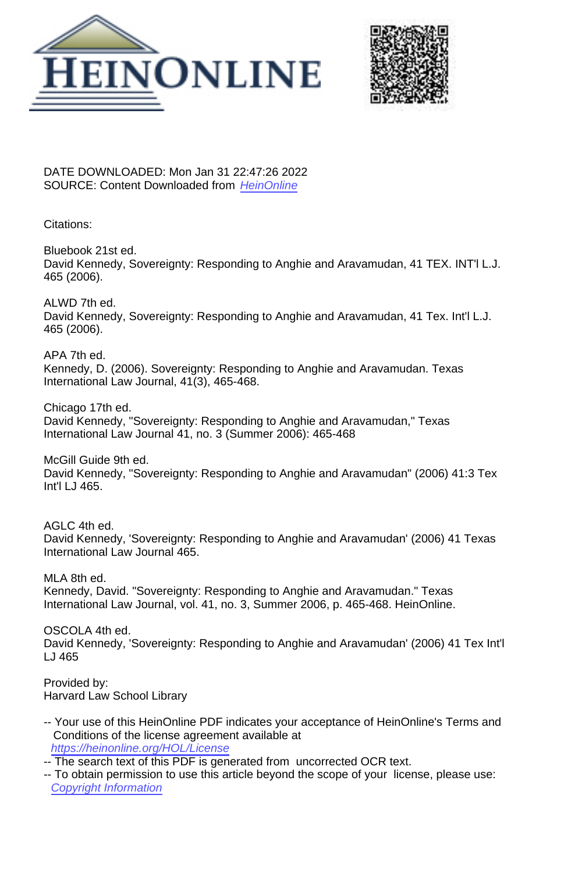



DATE DOWNLOADED: Mon Jan 31 22:47:26 2022 SOURCE: Content Downloaded from [HeinOnline](https://heinonline.org/HOL/Page?handle=hein.journals/tilj41&collection=journals&id=471&startid=471&endid=474)

Citations:

Bluebook 21st ed. David Kennedy, Sovereignty: Responding to Anghie and Aravamudan, 41 TEX. INT'l L.J. 465 (2006).

ALWD 7th ed. David Kennedy, Sovereignty: Responding to Anghie and Aravamudan, 41 Tex. Int'l L.J. 465 (2006).

APA 7th ed. Kennedy, D. (2006). Sovereignty: Responding to Anghie and Aravamudan. Texas International Law Journal, 41(3), 465-468.

Chicago 17th ed. David Kennedy, "Sovereignty: Responding to Anghie and Aravamudan," Texas International Law Journal 41, no. 3 (Summer 2006): 465-468

McGill Guide 9th ed. David Kennedy, "Sovereignty: Responding to Anghie and Aravamudan" (2006) 41:3 Tex Int'l LJ 465.

AGLC 4th ed. David Kennedy, 'Sovereignty: Responding to Anghie and Aravamudan' (2006) 41 Texas International Law Journal 465.

MLA 8th ed. Kennedy, David. "Sovereignty: Responding to Anghie and Aravamudan." Texas International Law Journal, vol. 41, no. 3, Summer 2006, p. 465-468. HeinOnline.

OSCOLA 4th ed. David Kennedy, 'Sovereignty: Responding to Anghie and Aravamudan' (2006) 41 Tex Int'l LJ 465

Provided by: Harvard Law School Library

- -- Your use of this HeinOnline PDF indicates your acceptance of HeinOnline's Terms and Conditions of the license agreement available at <https://heinonline.org/HOL/License>
- -- The search text of this PDF is generated from uncorrected OCR text.
- -- To obtain permission to use this article beyond the scope of your license, please use: [Copyright Information](https://www.copyright.com/ccc/basicSearch.do?operation=go&searchType=0&lastSearch=simple&all=on&titleOrStdNo=0163-7479)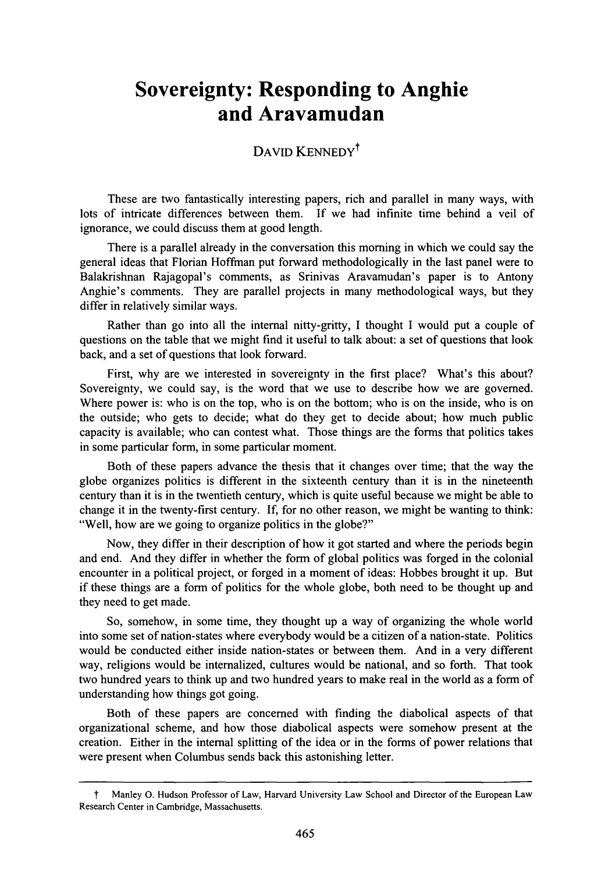## **Sovereignty: Responding to Anghie and Aravamudan**

## DAVID KENNEDY<sup>†</sup>

These are two fantastically interesting papers, rich and parallel in many ways, with lots of intricate differences between them. If we had infinite time behind a veil of ignorance, we could discuss them at good length.

There is a parallel already in the conversation this morning in which we could say the general ideas that Florian Hoffman put forward methodologically in the last panel were to Balakrishnan Rajagopal's comments, as Srinivas Aravamudan's paper is to Antony Anghie's comments. They are parallel projects in many methodological ways, but they differ in relatively similar ways.

Rather than go into all the internal nitty-gritty, I thought I would put a couple of questions on the table that we might find it useful to talk about: a set of questions that look back, and a set of questions that look forward.

First, why are we interested in sovereignty in the first place? What's this about? Sovereignty, we could say, is the word that we use to describe how we are governed. Where power is: who is on the top, who is on the bottom; who is on the inside, who is on the outside; who gets to decide; what do they get to decide about; how much public capacity is available; who can contest what. Those things are the forms that politics takes in some particular form, in some particular moment.

Both of these papers advance the thesis that it changes over time; that the way the globe organizes politics is different in the sixteenth century than it is in the nineteenth century than it is in the twentieth century, which is quite useful because we might be able to change it in the twenty-first century. If, for no other reason, we might be wanting to think: "Well, how are we going to organize politics in the globe?"

Now, they differ in their description of how it got started and where the periods begin and end. And they differ in whether the form of global politics was forged in the colonial encounter in a political project, or forged in a moment of ideas: Hobbes brought it up. But if these things are a form of politics for the whole globe, both need to be thought up and they need to get made.

So, somehow, in some time, they thought up a way of organizing the whole world into some set of nation-states where everybody would be a citizen of a nation-state. Politics would be conducted either inside nation-states or between them. And in a very different way, religions would be internalized, cultures would be national, and so forth. That took two hundred years to think up and two hundred years to make real in the world as a form of understanding how things got going.

Both of these papers are concerned with finding the diabolical aspects of that organizational scheme, and how those diabolical aspects were somehow present at the creation. Either in the internal splitting of the idea or in the forms of power relations that were present when Columbus sends back this astonishing letter.

t Manley **0.** Hudson Professor of Law, Harvard University Law School and Director of the European Law Research Center in Cambridge, Massachusetts.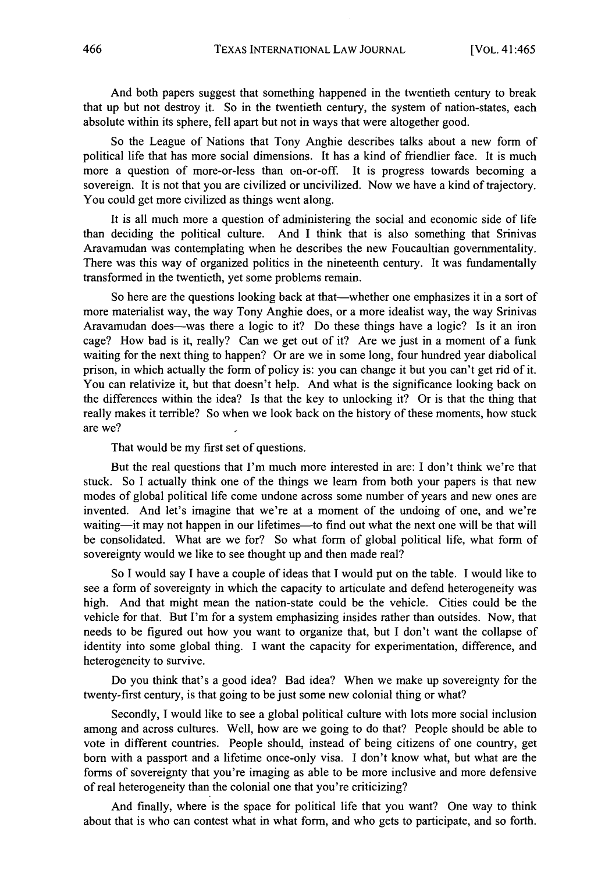And both papers suggest that something happened in the twentieth century to break that up but not destroy it. So in the twentieth century, the system of nation-states, each absolute within its sphere, fell apart but not in ways that were altogether good.

So the League of Nations that Tony Anghie describes talks about a new form of political life that has more social dimensions. It has a kind of friendlier face. It is much more a question of more-or-less than on-or-off. It is progress towards becoming a sovereign. It is not that you are civilized or uncivilized. Now we have a kind of trajectory. You could get more civilized as things went along.

It is all much more a question of administering the social and economic side of life than deciding the political culture. And I think that is also something that Srinivas Aravamudan was contemplating when he describes the new Foucaultian governmentality. There was this way of organized politics in the nineteenth century. It was fundamentally transformed in the twentieth, yet some problems remain.

So here are the questions looking back at that—whether one emphasizes it in a sort of more materialist way, the way Tony Anghie does, or a more idealist way, the way Srinivas Aravamudan does--was there a logic to it? Do these things have a logic? Is it an iron cage? How bad is it, really? Can we get out of it? Are we just in a moment of a funk waiting for the next thing to happen? Or are we in some long, four hundred year diabolical prison, in which actually the form of policy is: you can change it but you can't get rid of it. You can relativize it, but that doesn't help. And what is the significance looking back on the differences within the idea? Is that the key to unlocking it? Or is that the thing that really makes it terrible? So when we look back on the history of these moments, how stuck are we?

That would be my first set of questions.

But the real questions that I'm much more interested in are: I don't think we're that stuck. So I actually think one of the things we learn from both your papers is that new modes of global political life come undone across some number of years and new ones are invented. And let's imagine that we're at a moment of the undoing of one, and we're waiting—it may not happen in our lifetimes—to find out what the next one will be that will be consolidated. What are we for? So what form of global political life, what form of sovereignty would we like to see thought up and then made real?

So I would say I have a couple of ideas that I would put on the table. I would like to see a form of sovereignty in which the capacity to articulate and defend heterogeneity was high. And that might mean the nation-state could be the vehicle. Cities could be the vehicle for that. But I'm for a system emphasizing insides rather than outsides. Now, that needs to be figured out how you want to organize that, but I don't want the collapse of identity into some global thing. I want the capacity for experimentation, difference, and heterogeneity to survive.

Do you think that's a good idea? Bad idea? When we make up sovereignty for the twenty-first century, is that going to be just some new colonial thing or what?

Secondly, I would like to see a global political culture with lots more social inclusion among and across cultures. Well, how are we going to do that? People should be able to vote in different countries. People should, instead of being citizens of one country, get born with a passport and a lifetime once-only visa. I don't know what, but what are the forms of sovereignty that you're imaging as able to be more inclusive and more defensive of real heterogeneity than the colonial one that you're criticizing?

And finally, where is the space for political life that you want? One way to think about that is who can contest what in what form, and who gets to participate, and so forth.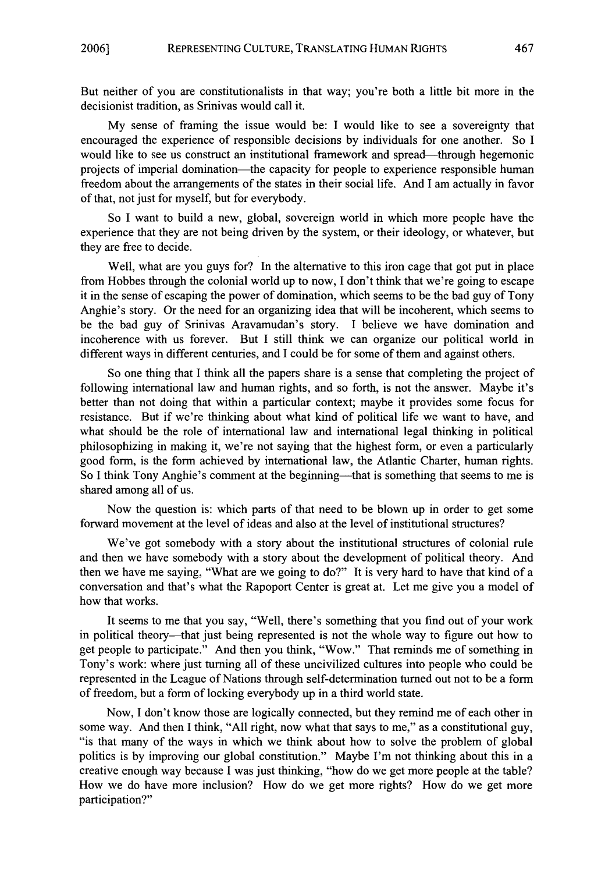But neither of you are constitutionalists in that way; you're both a little bit more in the decisionist tradition, as Srinivas would call it.

My sense of framing the issue would be: I would like to see a sovereignty that encouraged the experience of responsible decisions by individuals for one another. So I would like to see us construct an institutional framework and spread—through hegemonic projects of imperial domination-the capacity for people to experience responsible human freedom about the arrangements of the states in their social life. And I am actually in favor of that, not just for myself, but for everybody.

So I want to build a new, global, sovereign world in which more people have the experience that they are not being driven by the system, or their ideology, or whatever, but they are free to decide.

Well, what are you guys for? In the alternative to this iron cage that got put in place from Hobbes through the colonial world up to now, I don't think that we're going to escape it in the sense of escaping the power of domination, which seems to be the bad guy of Tony Anghie's story. Or the need for an organizing idea that will be incoherent, which seems to be the bad guy of Srinivas Aravamudan's story. I believe we have domination and incoherence with us forever. But I still think we can organize our political world in different ways in different centuries, and I could be for some of them and against others.

So one thing that I think all the papers share is a sense that completing the project of following international law and human rights, and so forth, is not the answer. Maybe it's better than not doing that within a particular context; maybe it provides some focus for resistance. But if we're thinking about what kind of political life we want to have, and what should be the role of international law and international legal thinking in political philosophizing in making it, we're not saying that the highest form, or even a particularly good form, is the form achieved by international law, the Atlantic Charter, human rights. So I think Tony Anghie's comment at the beginning—that is something that seems to me is shared among all of us.

Now the question is: which parts of that need to be blown up in order to get some forward movement at the level of ideas and also at the level of institutional structures?

We've got somebody with a story about the institutional structures of colonial rule and then we have somebody with a story about the development of political theory. And then we have me saying, "What are we going to do?" It is very hard to have that kind of a conversation and that's what the Rapoport Center is great at. Let me give you a model of how that works.

It seems to me that you say, "Well, there's something that you find out of your work in political theory-that just being represented is not the whole way to figure out how to get people to participate." And then you think, "Wow." That reminds me of something in Tony's work: where just turning all of these uncivilized cultures into people who could be represented in the League of Nations through self-determination turned out not to be a form of freedom, but a form of locking everybody up in a third world state.

Now, I don't know those are logically connected, but they remind me of each other in some way. And then I think, "All right, now what that says to me," as a constitutional guy, "is that many of the ways in which we think about how to solve the problem of global politics is by improving our global constitution." Maybe I'm not thinking about this in a creative enough way because I was just thinking, "how do we get more people at the table? How we do have more inclusion? How do we get more rights? How do we get more participation?"